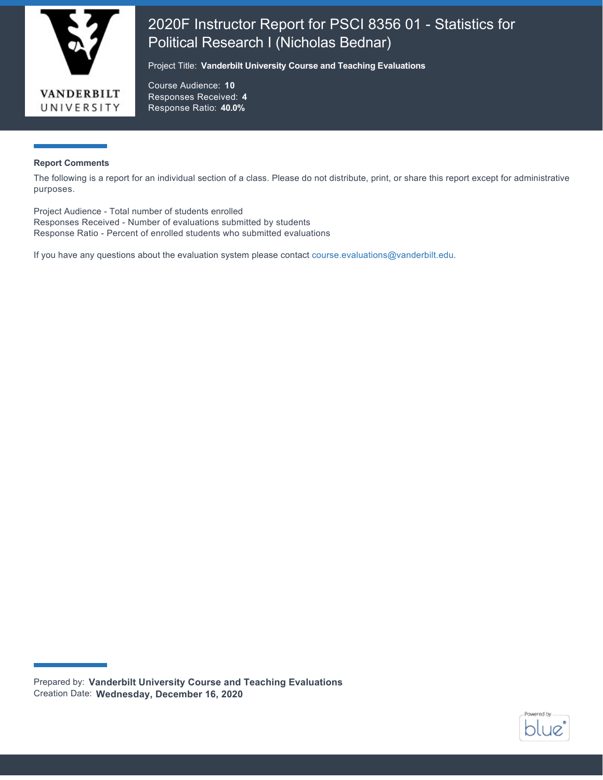

# 2020F Instructor Report for PSCI 8356 01 - Statistics for Political Research I (Nicholas Bednar)

Project Title: **Vanderbilt University Course and Teaching Evaluations**

Course Audience: **10** Responses Received: **4** Response Ratio: **40.0%**

#### **Report Comments**

The following is a report for an individual section of a class. Please do not distribute, print, or share this report except for administrative purposes.

Project Audience - Total number of students enrolled Responses Received - Number of evaluations submitted by students Response Ratio - Percent of enrolled students who submitted evaluations

If you have any questions about the evaluation system please contact [course.evaluations@vanderbilt.edu.](mailto:course.evaluations@vanderbilt.edu)



Prepared by: **Vanderbilt University Course and Teaching Evaluations** Creation Date: **Wednesday, December 16, 2020**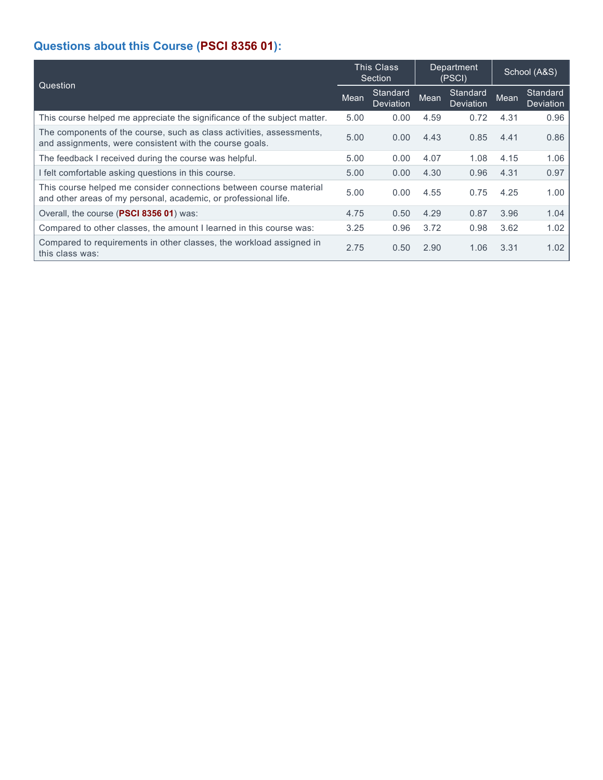# **Questions about this Course (PSCI 8356 01):**

| Question                                                                                                                              |      | <b>This Class</b><br>Section | Department<br>(PSCI) |                       | School (A&S) |                              |
|---------------------------------------------------------------------------------------------------------------------------------------|------|------------------------------|----------------------|-----------------------|--------------|------------------------------|
|                                                                                                                                       |      | Standard<br>Deviation        | Mean                 | Standard<br>Deviation | Mean         | Standard<br><b>Deviation</b> |
| This course helped me appreciate the significance of the subject matter.                                                              | 5.00 | 0.00                         | 4.59                 | 0.72                  | 4.31         | 0.96                         |
| The components of the course, such as class activities, assessments,<br>and assignments, were consistent with the course goals.       | 5.00 | 0.00                         | 4.43                 | 0.85                  | 4.41         | 0.86                         |
| The feedback I received during the course was helpful.                                                                                | 5.00 | 0.00                         | 4.07                 | 1.08                  | 4.15         | 1.06                         |
| I felt comfortable asking questions in this course.                                                                                   | 5.00 | 0.00                         | 4.30                 | 0.96                  | 4.31         | 0.97                         |
| This course helped me consider connections between course material<br>and other areas of my personal, academic, or professional life. | 5.00 | 0.00                         | 4.55                 | 0.75                  | 4.25         | 1.00                         |
| Overall, the course (PSCI 8356 01) was:                                                                                               | 4.75 | 0.50                         | 4.29                 | 0.87                  | 3.96         | 1.04                         |
| Compared to other classes, the amount I learned in this course was:                                                                   | 3.25 | 0.96                         | 3.72                 | 0.98                  | 3.62         | 1.02                         |
| Compared to requirements in other classes, the workload assigned in<br>this class was:                                                | 2.75 | 0.50                         | 2.90                 | 1.06                  | 3.31         | 1.02                         |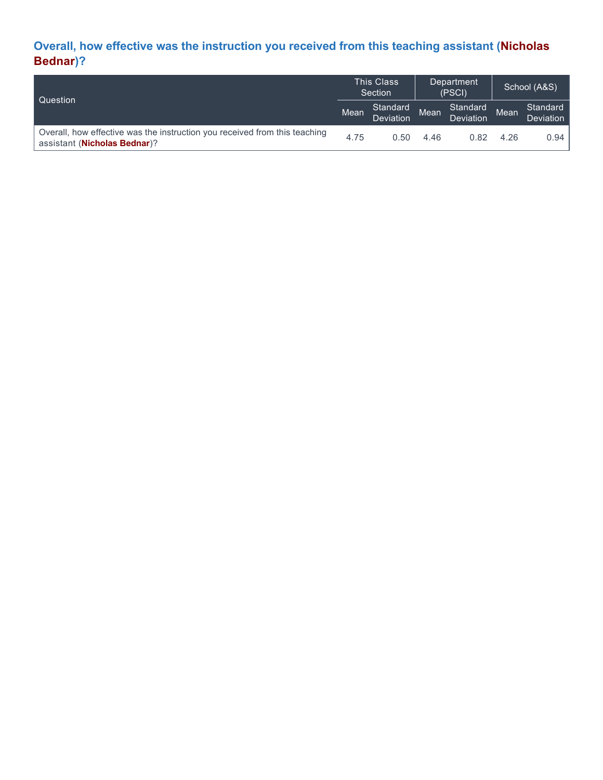## **Overall, how effective was the instruction you received from this teaching assistant (Nicholas Bednar)?**

| l Question                                                                                                          |      | <b>This Class</b><br>Section |      | Department<br>(PSCI)  |      | School (A&S)                 |  |
|---------------------------------------------------------------------------------------------------------------------|------|------------------------------|------|-----------------------|------|------------------------------|--|
|                                                                                                                     |      | Standard<br>Deviation        | Mean | Standard<br>Deviation | Mean | Standard<br><b>Deviation</b> |  |
| Overall, how effective was the instruction you received from this teaching<br>assistant ( <b>Nicholas Bednar</b> )? | 4.75 | 0.50                         | 4.46 | 0.82                  | 4.26 | 0.94                         |  |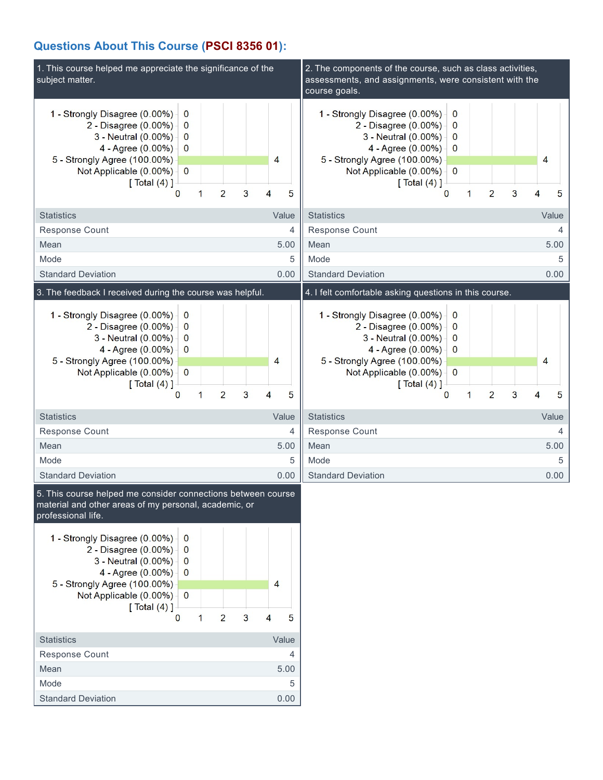### **Questions About This Course (PSCI 8356 01):**

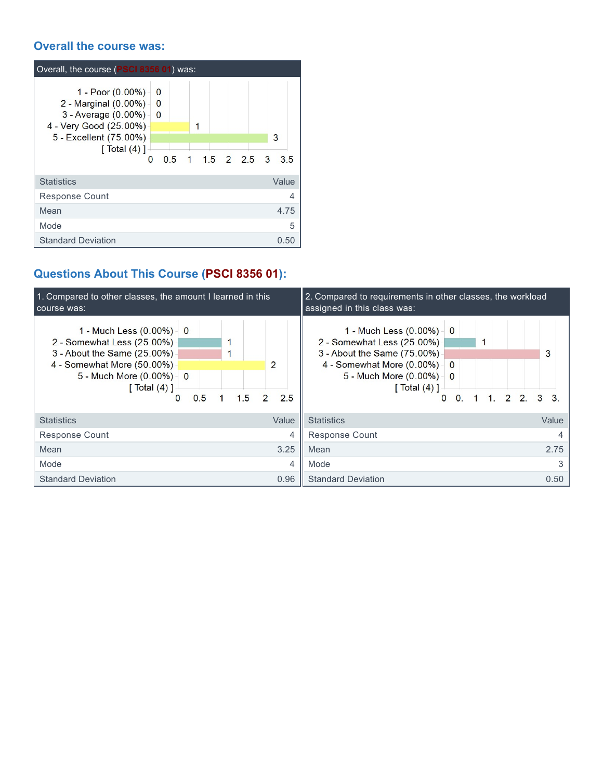### **Overall the course was:**

| Overall, the course (PSCI 8356 01) was:                                                                                                                                                                                                   |         |
|-------------------------------------------------------------------------------------------------------------------------------------------------------------------------------------------------------------------------------------------|---------|
| 1 - Poor $(0.00\%)$<br>$\Omega$<br>2 - Marginal (0.00%) -<br>$\Omega$<br>3 - Average (0.00%) -<br>$\overline{0}$<br>4 - Very Good (25.00%)<br>1<br>5 - Excellent (75.00%)<br>$\lceil$ Total $(4)$ ]<br>1 15 2 25 3<br>0 <sub>5</sub><br>O | 3<br>35 |
| <b>Statistics</b>                                                                                                                                                                                                                         | Value   |
| <b>Response Count</b>                                                                                                                                                                                                                     | 4       |
| Mean                                                                                                                                                                                                                                      | 4.75    |
| Mode                                                                                                                                                                                                                                      | 5       |
| <b>Standard Deviation</b>                                                                                                                                                                                                                 | 0.50    |

# **Questions About This Course (PSCI 8356 01):**

| 1. Compared to other classes, the amount I learned in this<br>course was:                                                                                      |                                 |     |     |                |                      |   | 2. Compared to requirements in other classes, the workload<br>assigned in this class was:                                                                                                                                        |       |   |
|----------------------------------------------------------------------------------------------------------------------------------------------------------------|---------------------------------|-----|-----|----------------|----------------------|---|----------------------------------------------------------------------------------------------------------------------------------------------------------------------------------------------------------------------------------|-------|---|
| 1 - Much Less (0.00%)<br>2 - Somewhat Less (25.00%)<br>3 - About the Same (25.00%)<br>4 - Somewhat More (50.00%)<br>5 - Much More (0.00%) -<br>[ $Total (4)$ ] | $\overline{0}$<br>$\Omega$<br>0 | 0.5 | 1.5 | $\overline{2}$ | $\overline{2}$<br>25 |   | 1 - Much Less $(0.00\%)$ 0<br>2 - Somewhat Less (25.00%)<br>3 - About the Same (75.00%)<br>4 - Somewhat More (0.00%)<br>$\Omega$<br>5 - Much More (0.00%) -<br>$\Omega$<br>[ Total (4) ]<br>$2\ 2\ 3\ 3$<br>$\Omega$<br>$\Omega$ | 3     |   |
| <b>Statistics</b>                                                                                                                                              |                                 |     |     |                | Value                |   | <b>Statistics</b>                                                                                                                                                                                                                | Value |   |
| Response Count                                                                                                                                                 |                                 |     |     |                |                      | 4 | <b>Response Count</b>                                                                                                                                                                                                            |       |   |
| Mean                                                                                                                                                           |                                 |     |     |                | 3.25                 |   | Mean                                                                                                                                                                                                                             | 2.75  |   |
| Mode                                                                                                                                                           |                                 |     |     |                |                      | 4 | Mode                                                                                                                                                                                                                             |       | 3 |
| <b>Standard Deviation</b>                                                                                                                                      |                                 |     |     |                | 0.96                 |   | <b>Standard Deviation</b>                                                                                                                                                                                                        | 0.50  |   |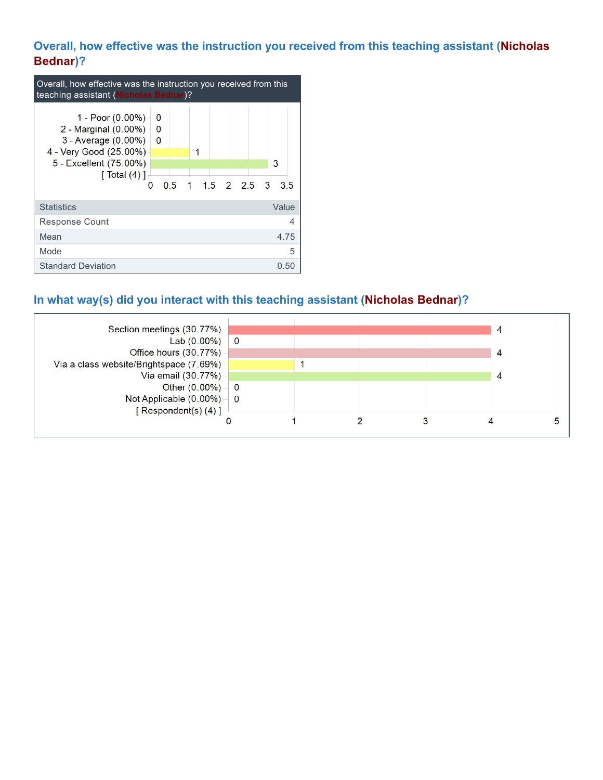## **Overall, how effective was the instruction you received from this teaching assistant (Nicholas Bednar)?**

| Overall, how effective was the instruction you received from this<br>teaching assistant (Nicholas Bednar)?                                                     |                                                                      |         |  |  |  |  |  |
|----------------------------------------------------------------------------------------------------------------------------------------------------------------|----------------------------------------------------------------------|---------|--|--|--|--|--|
| 1 - Poor $(0.00\%)$<br>2 - Marginal (0.00%) -<br>$3 -$ Average $(0.00\%)$<br>4 - Very Good (25.00%)<br>5 - Excellent (75.00%)<br>$\lceil$ Total $(4)$ $\rceil$ | O<br>$\bf{0}$<br>$\bf{0}$<br>15 2 25 3<br>0.5<br>$\overline{1}$<br>O | 3<br>35 |  |  |  |  |  |
| <b>Statistics</b>                                                                                                                                              |                                                                      | Value   |  |  |  |  |  |
| <b>Response Count</b>                                                                                                                                          |                                                                      | 4       |  |  |  |  |  |
| Mean                                                                                                                                                           |                                                                      | 4.75    |  |  |  |  |  |
| Mode                                                                                                                                                           |                                                                      | 5       |  |  |  |  |  |
| <b>Standard Deviation</b>                                                                                                                                      |                                                                      | 0.50    |  |  |  |  |  |

## **In what way(s) did you interact with this teaching assistant (Nicholas Bednar)?**

| Section meetings (30.77%) -             |                |  | 4 |  |
|-----------------------------------------|----------------|--|---|--|
| Lab $(0.00\%)$                          | $\overline{0}$ |  |   |  |
| Office hours (30.77%)                   |                |  |   |  |
| Via a class website/Brightspace (7.69%) |                |  |   |  |
| Via email (30.77%)                      |                |  |   |  |
| Other $(0.00\%)$ - 0                    |                |  |   |  |
| Not Applicable $(0.00\%)$ – 0           |                |  |   |  |
| [Respondent(s) $(4)$ ] –                |                |  |   |  |
|                                         |                |  |   |  |
|                                         |                |  |   |  |